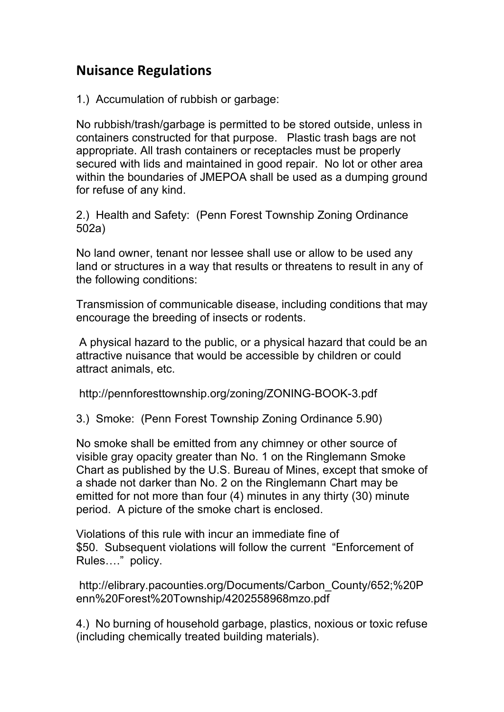## **Nuisance Regulations**

1.) Accumulation of rubbish or garbage:

No rubbish/trash/garbage is permitted to be stored outside, unless in containers constructed for that purpose. Plastic trash bags are not appropriate. All trash containers or receptacles must be properly secured with lids and maintained in good repair. No lot or other area within the boundaries of JMEPOA shall be used as a dumping ground for refuse of any kind.

2.) Health and Safety: (Penn Forest Township Zoning Ordinance 502a)

No land owner, tenant nor lessee shall use or allow to be used any land or structures in a way that results or threatens to result in any of the following conditions:

Transmission of communicable disease, including conditions that may encourage the breeding of insects or rodents.

A physical hazard to the public, or a physical hazard that could be an attractive nuisance that would be accessible by children or could attract animals, etc.

http://pennforesttownship.org/zoning/ZONING-BOOK-3.pdf

3.) Smoke: (Penn Forest Township Zoning Ordinance 5.90)

No smoke shall be emitted from any chimney or other source of visible gray opacity greater than No. 1 on the Ringlemann Smoke Chart as published by the U.S. Bureau of Mines, except that smoke of a shade not darker than No. 2 on the Ringlemann Chart may be emitted for not more than four (4) minutes in any thirty (30) minute period. A picture of the smoke chart is enclosed.

Violations of this rule with incur an immediate fine of \$50. Subsequent violations will follow the current "Enforcement of Rules…." policy.

http://elibrary.pacounties.org/Documents/Carbon\_County/652;%20P enn%20Forest%20Township/4202558968mzo.pdf

4.) No burning of household garbage, plastics, noxious or toxic refuse (including chemically treated building materials).